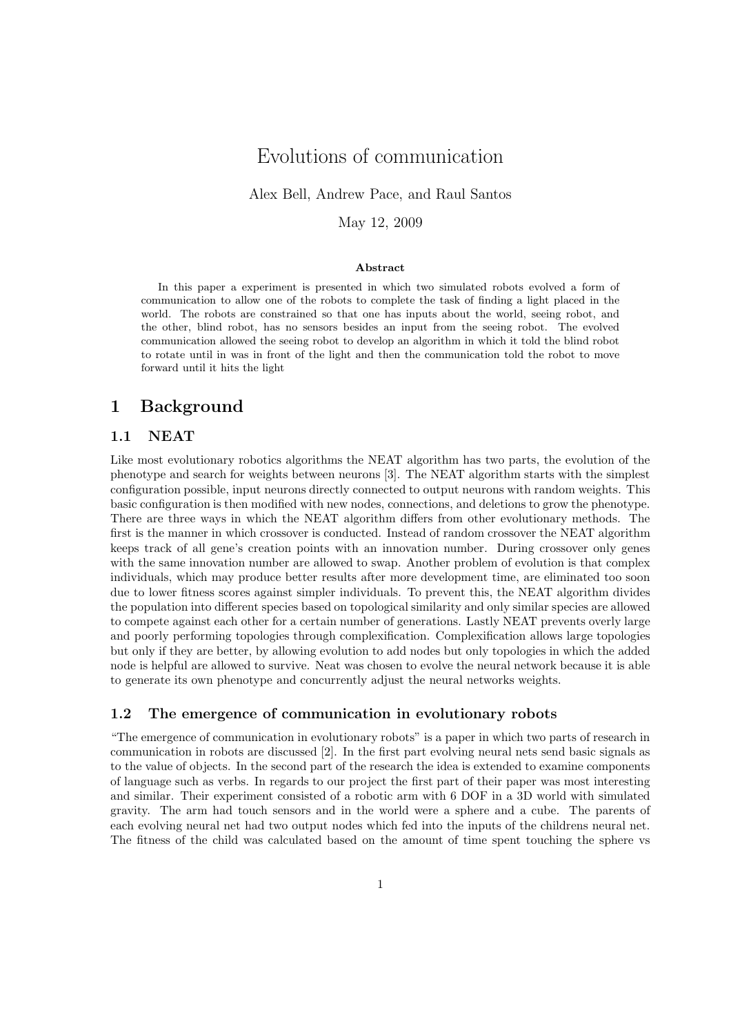# Evolutions of communication

Alex Bell, Andrew Pace, and Raul Santos

May 12, 2009

#### Abstract

In this paper a experiment is presented in which two simulated robots evolved a form of communication to allow one of the robots to complete the task of finding a light placed in the world. The robots are constrained so that one has inputs about the world, seeing robot, and the other, blind robot, has no sensors besides an input from the seeing robot. The evolved communication allowed the seeing robot to develop an algorithm in which it told the blind robot to rotate until in was in front of the light and then the communication told the robot to move forward until it hits the light

## 1 Background

#### 1.1 NEAT

Like most evolutionary robotics algorithms the NEAT algorithm has two parts, the evolution of the phenotype and search for weights between neurons [3]. The NEAT algorithm starts with the simplest configuration possible, input neurons directly connected to output neurons with random weights. This basic configuration is then modified with new nodes, connections, and deletions to grow the phenotype. There are three ways in which the NEAT algorithm differs from other evolutionary methods. The first is the manner in which crossover is conducted. Instead of random crossover the NEAT algorithm keeps track of all gene's creation points with an innovation number. During crossover only genes with the same innovation number are allowed to swap. Another problem of evolution is that complex individuals, which may produce better results after more development time, are eliminated too soon due to lower fitness scores against simpler individuals. To prevent this, the NEAT algorithm divides the population into different species based on topological similarity and only similar species are allowed to compete against each other for a certain number of generations. Lastly NEAT prevents overly large and poorly performing topologies through complexification. Complexification allows large topologies but only if they are better, by allowing evolution to add nodes but only topologies in which the added node is helpful are allowed to survive. Neat was chosen to evolve the neural network because it is able to generate its own phenotype and concurrently adjust the neural networks weights.

#### 1.2 The emergence of communication in evolutionary robots

"The emergence of communication in evolutionary robots" is a paper in which two parts of research in communication in robots are discussed [2]. In the first part evolving neural nets send basic signals as to the value of objects. In the second part of the research the idea is extended to examine components of language such as verbs. In regards to our project the first part of their paper was most interesting and similar. Their experiment consisted of a robotic arm with 6 DOF in a 3D world with simulated gravity. The arm had touch sensors and in the world were a sphere and a cube. The parents of each evolving neural net had two output nodes which fed into the inputs of the childrens neural net. The fitness of the child was calculated based on the amount of time spent touching the sphere vs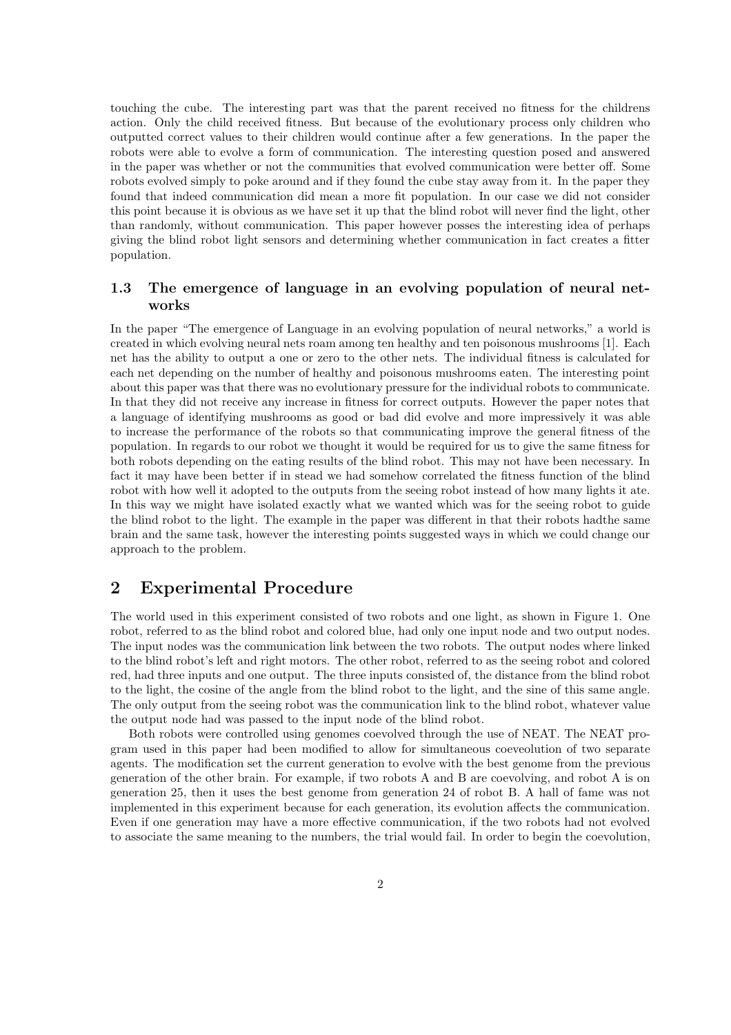touching the cube. The interesting part was that the parent received no fitness for the childrens action. Only the child received fitness. But because of the evolutionary process only children who outputted correct values to their children would continue after a few generations. In the paper the robots were able to evolve a form of communication. The interesting question posed and answered in the paper was whether or not the communities that evolved communication were better off. Some robots evolved simply to poke around and if they found the cube stay away from it. In the paper they found that indeed communication did mean a more fit population. In our case we did not consider this point because it is obvious as we have set it up that the blind robot will never find the light, other than randomly, without communication. This paper however posses the interesting idea of perhaps giving the blind robot light sensors and determining whether communication in fact creates a fitter population.

#### 1.3 The emergence of language in an evolving population of neural networks

In the paper "The emergence of Language in an evolving population of neural networks," a world is created in which evolving neural nets roam among ten healthy and ten poisonous mushrooms [1]. Each net has the ability to output a one or zero to the other nets. The individual fitness is calculated for each net depending on the number of healthy and poisonous mushrooms eaten. The interesting point about this paper was that there was no evolutionary pressure for the individual robots to communicate. In that they did not receive any increase in fitness for correct outputs. However the paper notes that a language of identifying mushrooms as good or bad did evolve and more impressively it was able to increase the performance of the robots so that communicating improve the general fitness of the population. In regards to our robot we thought it would be required for us to give the same fitness for both robots depending on the eating results of the blind robot. This may not have been necessary. In fact it may have been better if in stead we had somehow correlated the fitness function of the blind robot with how well it adopted to the outputs from the seeing robot instead of how many lights it ate. In this way we might have isolated exactly what we wanted which was for the seeing robot to guide the blind robot to the light. The example in the paper was different in that their robots hadthe same brain and the same task, however the interesting points suggested ways in which we could change our approach to the problem.

# 2 Experimental Procedure

The world used in this experiment consisted of two robots and one light, as shown in Figure 1. One robot, referred to as the blind robot and colored blue, had only one input node and two output nodes. The input nodes was the communication link between the two robots. The output nodes where linked to the blind robot's left and right motors. The other robot, referred to as the seeing robot and colored red, had three inputs and one output. The three inputs consisted of, the distance from the blind robot to the light, the cosine of the angle from the blind robot to the light, and the sine of this same angle. The only output from the seeing robot was the communication link to the blind robot, whatever value the output node had was passed to the input node of the blind robot.

Both robots were controlled using genomes coevolved through the use of NEAT. The NEAT program used in this paper had been modified to allow for simultaneous coeveolution of two separate agents. The modification set the current generation to evolve with the best genome from the previous generation of the other brain. For example, if two robots A and B are coevolving, and robot A is on generation 25, then it uses the best genome from generation 24 of robot B. A hall of fame was not implemented in this experiment because for each generation, its evolution affects the communication. Even if one generation may have a more effective communication, if the two robots had not evolved to associate the same meaning to the numbers, the trial would fail. In order to begin the coevolution,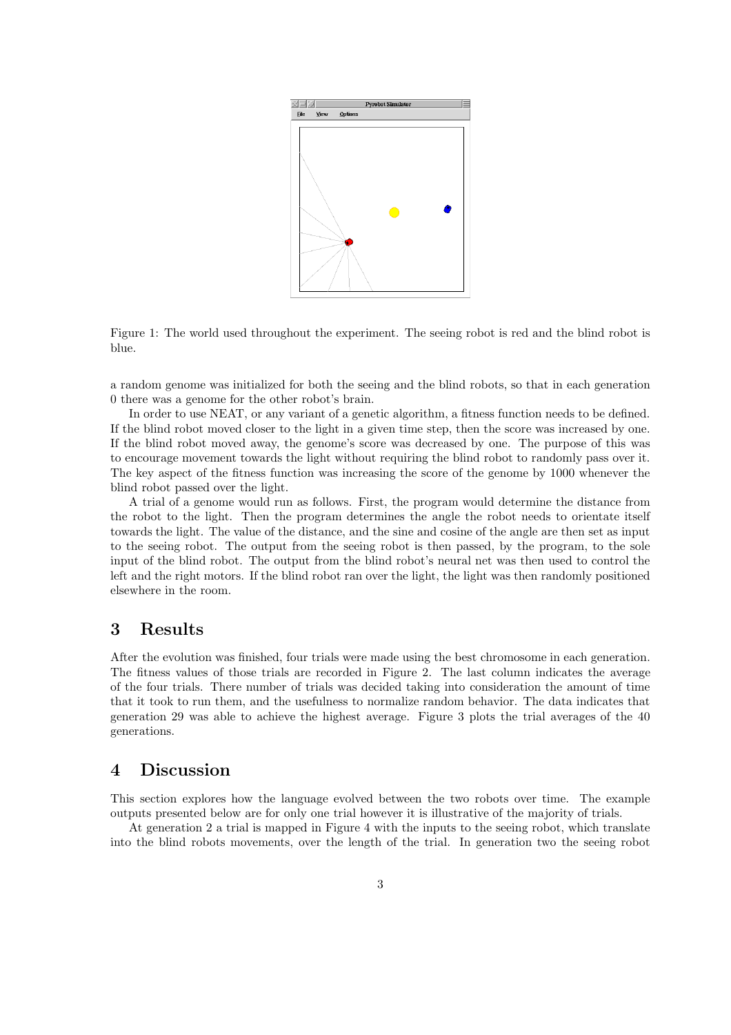

Figure 1: The world used throughout the experiment. The seeing robot is red and the blind robot is blue.

a random genome was initialized for both the seeing and the blind robots, so that in each generation 0 there was a genome for the other robot's brain.

In order to use NEAT, or any variant of a genetic algorithm, a fitness function needs to be defined. If the blind robot moved closer to the light in a given time step, then the score was increased by one. If the blind robot moved away, the genome's score was decreased by one. The purpose of this was to encourage movement towards the light without requiring the blind robot to randomly pass over it. The key aspect of the fitness function was increasing the score of the genome by 1000 whenever the blind robot passed over the light.

A trial of a genome would run as follows. First, the program would determine the distance from the robot to the light. Then the program determines the angle the robot needs to orientate itself towards the light. The value of the distance, and the sine and cosine of the angle are then set as input to the seeing robot. The output from the seeing robot is then passed, by the program, to the sole input of the blind robot. The output from the blind robot's neural net was then used to control the left and the right motors. If the blind robot ran over the light, the light was then randomly positioned elsewhere in the room.

### 3 Results

After the evolution was finished, four trials were made using the best chromosome in each generation. The fitness values of those trials are recorded in Figure 2. The last column indicates the average of the four trials. There number of trials was decided taking into consideration the amount of time that it took to run them, and the usefulness to normalize random behavior. The data indicates that generation 29 was able to achieve the highest average. Figure 3 plots the trial averages of the 40 generations.

#### 4 Discussion

This section explores how the language evolved between the two robots over time. The example outputs presented below are for only one trial however it is illustrative of the majority of trials.

At generation 2 a trial is mapped in Figure 4 with the inputs to the seeing robot, which translate into the blind robots movements, over the length of the trial. In generation two the seeing robot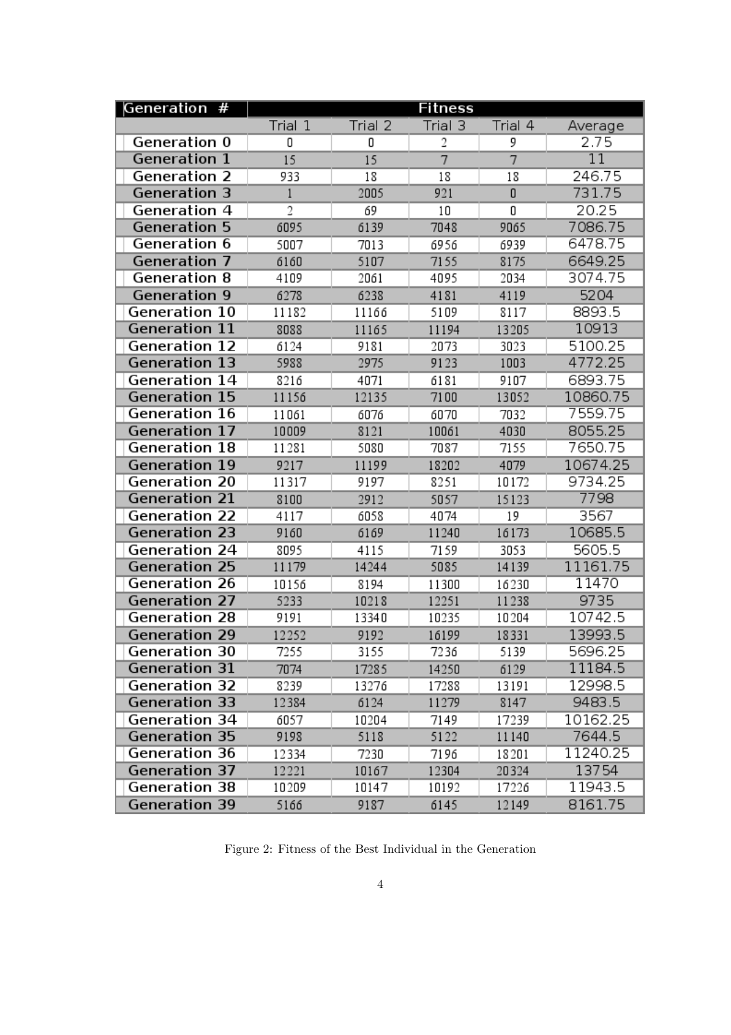| Generation #              | <b>Fitness</b> |         |                |         |                 |
|---------------------------|----------------|---------|----------------|---------|-----------------|
|                           | Trial 1        | Trial 2 | Trial 3        | Trial 4 | Average         |
| Generation 0              | 0              | 0       | 2              | 9       | 2.75            |
| Generation 1              | 15             | 15      | $\overline{7}$ | 7       | $\overline{11}$ |
| Generation 2              | 933            | 18      | 18             | 18      | 246.75          |
| Generation 3              | 1              | 2005    | 921            | 0       | 731.75          |
| Generation $\overline{4}$ | 2              | 69      | 10             | 0       | 20.25           |
| <b>Generation 5</b>       | 6095           | 6139    | 7048           | 9065    | 7086.75         |
| Generation 6              | 5007           | 7013    | 6956           | 6939    | 6478.75         |
| Generation 7              | 6160           | 5107    | 7155           | 8175    | 6649.25         |
| Generation 8              | 4109           | 2061    | 4095           | 2034    | 3074.75         |
| Generation 9              | 6278           | 6238    | 4181           | 4119    | 5204            |
| Generation 10             | 11182          | 11166   | 5109           | 8117    | 8893.5          |
| <b>Generation 11</b>      | 8088           | 11165   | 11194          | 13205   | 10913           |
| Generation 12             | 6124           | 9181    | 2073           | 3023    | 5100.25         |
| <b>Generation 13</b>      | 5988           | 2975    | 9123           | 1003    | 4772.25         |
| Generation 14             | 8216           | 4071    | 6181           | 9107    | 6893.75         |
| <b>Generation 15</b>      | 11156          | 12135   | 7100           | 13052   | 10860.75        |
| Generation 16             | 11061          | 6076    | 6070           | 7032    | 7559.75         |
| Generation 17             | 10009          | 8121    | 10061          | 4030    | 8055.25         |
| Generation 18             | 11281          | 5080    | 7087           | 7155    | 7650.75         |
| <b>Generation 19</b>      | 9217           | 11199   | 18202          | 4079    | 10674.25        |
| Generation 20             | 11317          | 9197    | 8251           | 10172   | 9734.25         |
| <b>Generation 21</b>      | 8100           | 2912    | 5057           | 15123   | 7798            |
| Generation 22             | 4117           | 6058    | 4074           | 19      | 3567            |
| <b>Generation 23</b>      | 9160           | 6169    | 11240          | 16173   | 10685.5         |
| Generation 24             | 8095           | 4115    | 7159           | 3053    | 5605.5          |
| <b>Generation 25</b>      | 11179          | 14244   | 5085           | 14139   | 11161.75        |
| Generation 26             | 10156          | 8194    | 11300          | 16230   | 11470           |
| <b>Generation 27</b>      | 5233           | 10218   | 12251          | 11238   | 9735            |
| Generation 28             | 9191           | 13340   | 10235          | 10204   | 10742.5         |
| <b>Generation 29</b>      | 12252          | 9192    | 16199          | 18331   | 13993.5         |
| Generation 30             | 7255           | 3155    | 7236           | 5139    | 5696.25         |
| <b>Generation 31</b>      | 7074           | 17285   | 14250          | 6129    | 11184.5         |
| <b>Generation 32</b>      | 8239           | 13276   | 17288          | 13191   | 12998.5         |
| <b>Generation 33</b>      | 12384          | 6124    | 11279          | 8147    | 9483.5          |
| Generation 34             | 6057           | 10204   | 7149           | 17239   | 10162.25        |
| <b>Generation 35</b>      | 9198           | 5118    | 5122           | 11140   | 7644.5          |
| Generation 36             | 12334          | 7230    | 7196           | 18201   | 11240.25        |
| <b>Generation 37</b>      | 12221          | 10167   | 12304          | 20324   | 13754           |
| Generation 38             | 10209          | 10147   | 10192          | 17226   | 11943.5         |
| <b>Generation 39</b>      | 5166           | 9187    | 6145           | 12149   | 8161.75         |

Figure 2: Fitness of the Best Individual in the Generation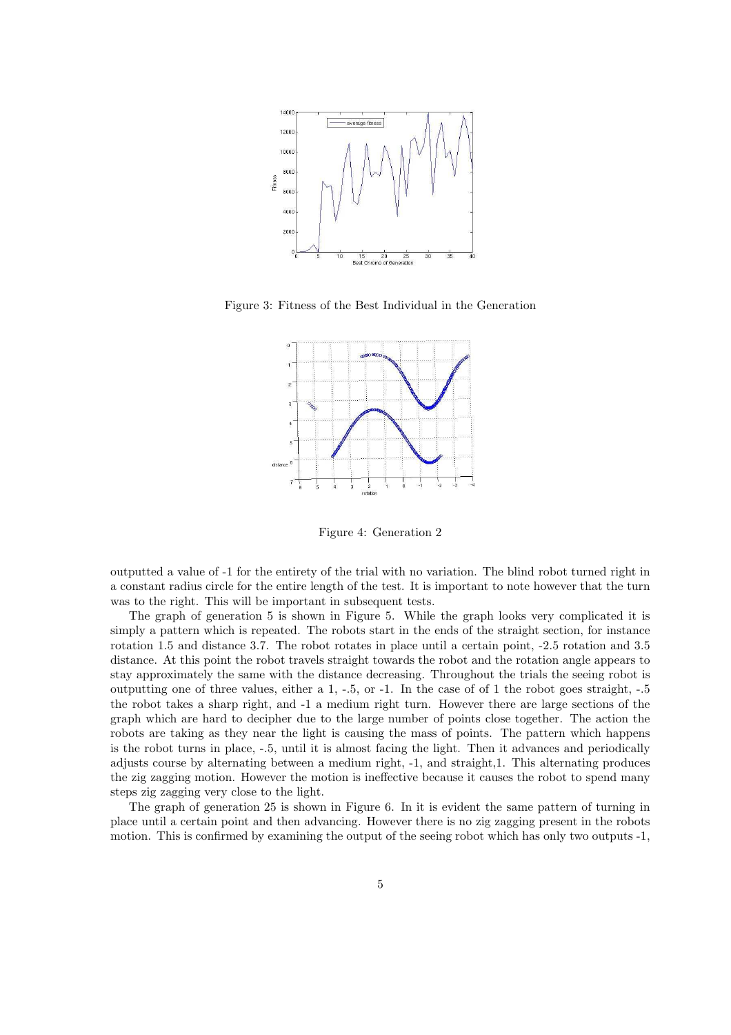

Figure 3: Fitness of the Best Individual in the Generation



Figure 4: Generation 2

outputted a value of -1 for the entirety of the trial with no variation. The blind robot turned right in a constant radius circle for the entire length of the test. It is important to note however that the turn was to the right. This will be important in subsequent tests.

The graph of generation 5 is shown in Figure 5. While the graph looks very complicated it is simply a pattern which is repeated. The robots start in the ends of the straight section, for instance rotation 1.5 and distance 3.7. The robot rotates in place until a certain point,  $-2.5$  rotation and 3.5 distance. At this point the robot travels straight towards the robot and the rotation angle appears to stay approximately the same with the distance decreasing. Throughout the trials the seeing robot is outputting one of three values, either a  $1, -5$ , or  $-1$ . In the case of of 1 the robot goes straight,  $-5$ the robot takes a sharp right, and -1 a medium right turn. However there are large sections of the graph which are hard to decipher due to the large number of points close together. The action the robots are taking as they near the light is causing the mass of points. The pattern which happens is the robot turns in place,  $-5$ , until it is almost facing the light. Then it advances and periodically adjusts course by alternating between a medium right, -1, and straight,1. This alternating produces the zig zagging motion. However the motion is ineffective because it causes the robot to spend many steps zig zagging very close to the light.

The graph of generation 25 is shown in Figure 6. In it is evident the same pattern of turning in place until a certain point and then advancing. However there is no zig zagging present in the robots motion. This is confirmed by examining the output of the seeing robot which has only two outputs -1,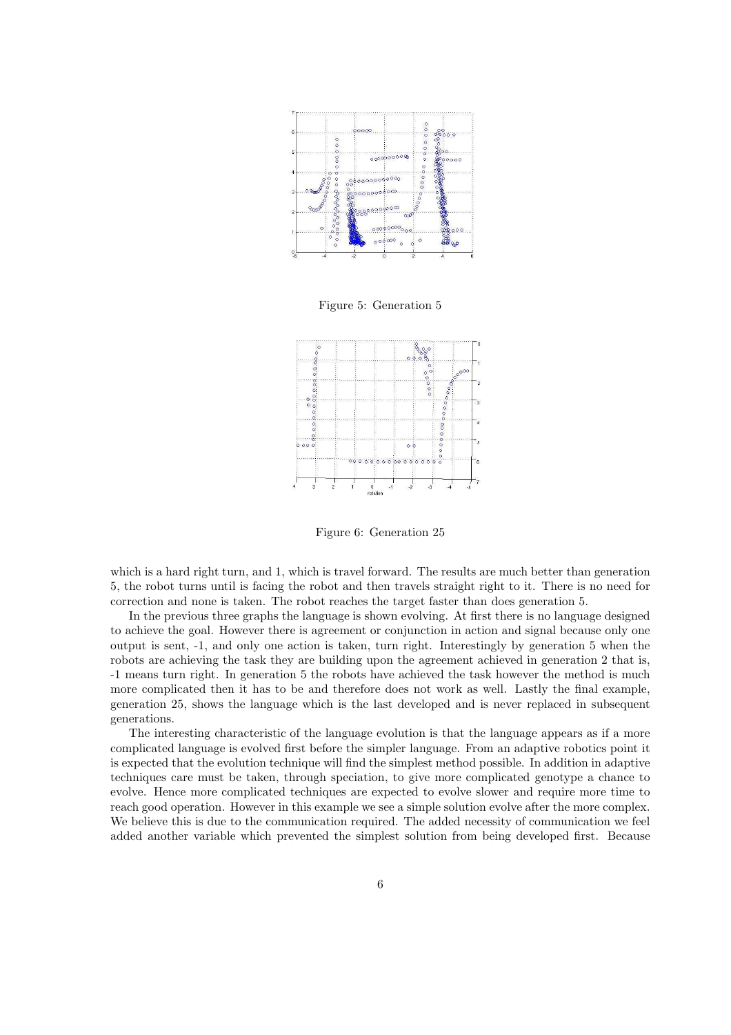

Figure 5: Generation 5



Figure 6: Generation 25

which is a hard right turn, and 1, which is travel forward. The results are much better than generation 5, the robot turns until is facing the robot and then travels straight right to it. There is no need for correction and none is taken. The robot reaches the target faster than does generation 5.

In the previous three graphs the language is shown evolving. At first there is no language designed to achieve the goal. However there is agreement or conjunction in action and signal because only one output is sent, -1, and only one action is taken, turn right. Interestingly by generation 5 when the robots are achieving the task they are building upon the agreement achieved in generation 2 that is, -1 means turn right. In generation 5 the robots have achieved the task however the method is much more complicated then it has to be and therefore does not work as well. Lastly the final example, generation 25, shows the language which is the last developed and is never replaced in subsequent generations.

The interesting characteristic of the language evolution is that the language appears as if a more complicated language is evolved first before the simpler language. From an adaptive robotics point it is expected that the evolution technique will find the simplest method possible. In addition in adaptive techniques care must be taken, through speciation, to give more complicated genotype a chance to evolve. Hence more complicated techniques are expected to evolve slower and require more time to reach good operation. However in this example we see a simple solution evolve after the more complex. We believe this is due to the communication required. The added necessity of communication we feel added another variable which prevented the simplest solution from being developed first. Because